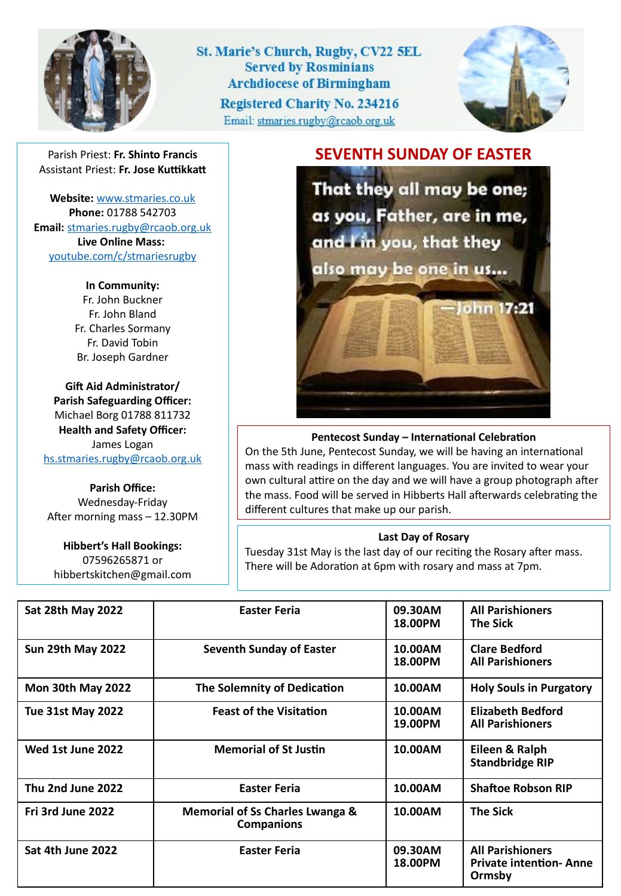

St. Marie's Church, Rugby, CV22 5EL **Served by Rosminians Archdiocese of Birmingham Registered Charity No. 234216** Email: stmaries.rugby@rcaob.org.uk



Parish Priest: **Fr. Shinto Francis** Assistant Priest: **Fr. Jose Kuttikkatt**

**Website:** [www.stmaries.co.uk](http://www.stmaries.co.uk/) **Phone:** 01788 542703 **Email:** [stmaries.rugby@rcaob.org.uk](mailto:stmaries.rugby@rcaob.org.uk) **Live Online Mass:** [youtube.com/c/stmariesrugby](http://www.youtube.com/c/stmariesrugby)

> **In Community:** Fr. John Buckner Fr. John Bland Fr. Charles Sormany Fr. David Tobin Br. Joseph Gardner

**Gift Aid Administrator/ Parish Safeguarding Officer:** Michael Borg 01788 811732 **Health and Safety Officer:** James Logan [hs.stmaries.rugby@rcaob.org.uk](mailto:hs.stmaries.rugby@rcaob.org.uk)

**Parish Office:** Wednesday-Friday After morning mass – 12.30PM

**Hibbert's Hall Bookings:** 07596265871 or hibbertskitchen@gmail.com **SEVENTH SUNDAY OF EASTER**

That they all may be one; as you, Father, are in me, and I'm you, that they also may be one in us...

ohn 17:21

## **Pentecost Sunday – International Celebration**

On the 5th June, Pentecost Sunday, we will be having an international mass with readings in different languages. You are invited to wear your own cultural attire on the day and we will have a group photograph after the mass. Food will be served in Hibberts Hall afterwards celebrating the different cultures that make up our parish.

## **Last Day of Rosary**

Tuesday 31st May is the last day of our reciting the Rosary after mass. There will be Adoration at 6pm with rosary and mass at 7pm.

| <b>Sat 28th May 2022</b> | <b>Easter Feria</b>                                             | 09.30AM<br>18.00PM | <b>All Parishioners</b><br><b>The Sick</b>                          |
|--------------------------|-----------------------------------------------------------------|--------------------|---------------------------------------------------------------------|
| <b>Sun 29th May 2022</b> | <b>Seventh Sunday of Easter</b>                                 | 10.00AM<br>18.00PM | <b>Clare Bedford</b><br><b>All Parishioners</b>                     |
| <b>Mon 30th May 2022</b> | The Solemnity of Dedication                                     | 10.00AM            | <b>Holy Souls in Purgatory</b>                                      |
| <b>Tue 31st May 2022</b> | <b>Feast of the Visitation</b>                                  | 10.00AM<br>19.00PM | <b>Elizabeth Bedford</b><br><b>All Parishioners</b>                 |
| Wed 1st June 2022        | <b>Memorial of St Justin</b>                                    | 10.00AM            | Eileen & Ralph<br><b>Standbridge RIP</b>                            |
| Thu 2nd June 2022        | <b>Easter Feria</b>                                             | 10.00AM            | <b>Shaftoe Robson RIP</b>                                           |
| Fri 3rd June 2022        | <b>Memorial of Ss Charles Lwanga &amp;</b><br><b>Companions</b> | 10.00AM            | <b>The Sick</b>                                                     |
| Sat 4th June 2022        | <b>Easter Feria</b>                                             | 09.30AM<br>18.00PM | <b>All Parishioners</b><br><b>Private intention- Anne</b><br>Ormsby |